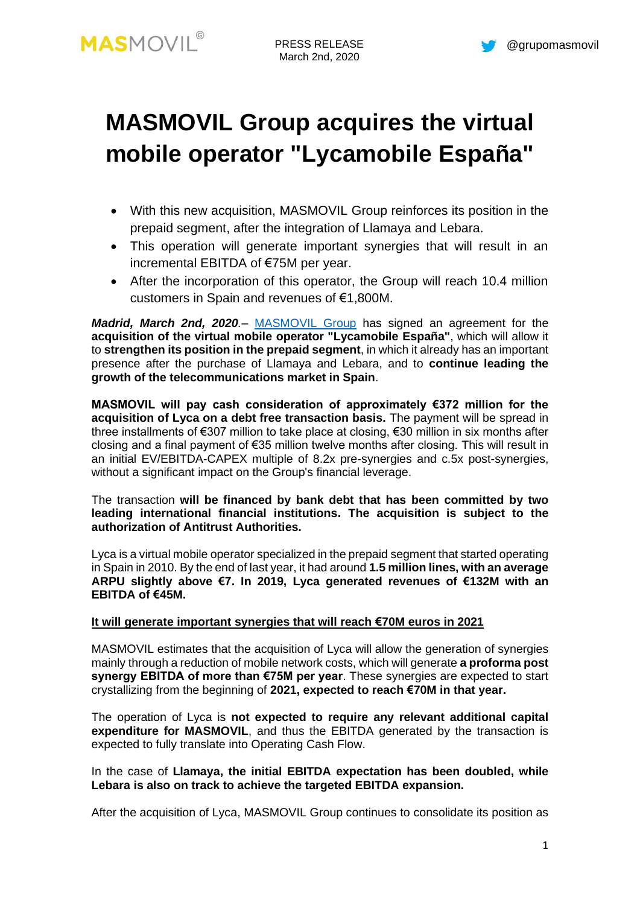# **MASMOVIL Group acquires the virtual mobile operator "Lycamobile España"**

- With this new acquisition, MASMOVIL Group reinforces its position in the prepaid segment, after the integration of Llamaya and Lebara.
- This operation will generate important synergies that will result in an incremental EBITDA of €75M per year.
- After the incorporation of this operator, the Group will reach 10.4 million customers in Spain and revenues of €1,800M.

*Madrid, March 2nd, 2020.*– [MASMOVIL](http://www.grupomasmovil.com/) Group has signed an agreement for the **acquisition of the virtual mobile operator "Lycamobile España"**, which will allow it to **strengthen its position in the prepaid segment**, in which it already has an important presence after the purchase of Llamaya and Lebara, and to **continue leading the growth of the telecommunications market in Spain**.

**MASMOVIL will pay cash consideration of approximately €372 million for the acquisition of Lyca on a debt free transaction basis.** The payment will be spread in three installments of €307 million to take place at closing, €30 million in six months after closing and a final payment of €35 million twelve months after closing. This will result in an initial EV/EBITDA-CAPEX multiple of 8.2x pre-synergies and c.5x post-synergies, without a significant impact on the Group's financial leverage.

The transaction **will be financed by bank debt that has been committed by two leading international financial institutions. The acquisition is subject to the authorization of Antitrust Authorities.** 

Lyca is a virtual mobile operator specialized in the prepaid segment that started operating in Spain in 2010. By the end of last year, it had around **1.5 million lines, with an average ARPU slightly above €7. In 2019, Lyca generated revenues of €132M with an EBITDA of €45M.**

## **It will generate important synergies that will reach €70M euros in 2021**

MASMOVIL estimates that the acquisition of Lyca will allow the generation of synergies mainly through a reduction of mobile network costs, which will generate **a proforma post synergy EBITDA of more than €75M per year**. These synergies are expected to start crystallizing from the beginning of **2021, expected to reach €70M in that year.**

The operation of Lyca is **not expected to require any relevant additional capital expenditure for MASMOVIL**, and thus the EBITDA generated by the transaction is expected to fully translate into Operating Cash Flow.

In the case of **Llamaya, the initial EBITDA expectation has been doubled, while Lebara is also on track to achieve the targeted EBITDA expansion.**

After the acquisition of Lyca, MASMOVIL Group continues to consolidate its position as